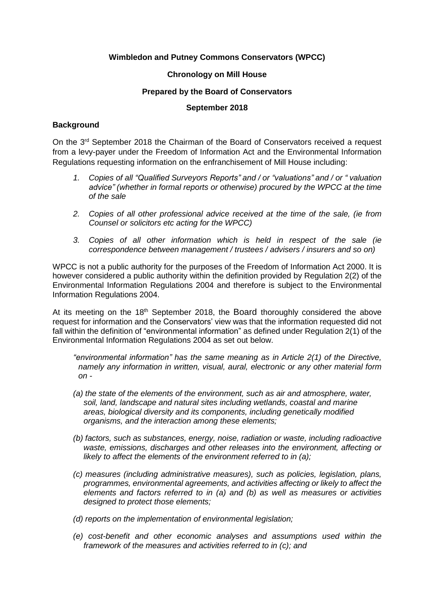## **Wimbledon and Putney Commons Conservators (WPCC)**

## **Chronology on Mill House**

## **Prepared by the Board of Conservators**

#### **September 2018**

## **Background**

On the 3rd September 2018 the Chairman of the Board of Conservators received a request from a levy-payer under the Freedom of Information Act and the Environmental Information Regulations requesting information on the enfranchisement of Mill House including:

- *1. Copies of all "Qualified Surveyors Reports" and / or "valuations" and / or " valuation advice" (whether in formal reports or otherwise) procured by the WPCC at the time of the sale*
- *2. Copies of all other professional advice received at the time of the sale, (ie from Counsel or solicitors etc acting for the WPCC)*
- *3. Copies of all other information which is held in respect of the sale (ie correspondence between management / trustees / advisers / insurers and so on)*

WPCC is not a public authority for the purposes of the Freedom of Information Act 2000. It is however considered a public authority within the definition provided by Regulation 2(2) of the Environmental Information Regulations 2004 and therefore is subject to the Environmental Information Regulations 2004.

At its meeting on the  $18<sup>th</sup>$  September 2018, the Board thoroughly considered the above request for information and the Conservators' view was that the information requested did not fall within the definition of "environmental information" as defined under Regulation 2(1) of the Environmental Information Regulations 2004 as set out below.

*"environmental information" has the same meaning as in Article 2(1) of the Directive, namely any information in written, visual, aural, electronic or any other material form on -* 

- *(a) the state of the elements of the environment, such as air and atmosphere, water, soil, land, landscape and natural sites including wetlands, coastal and marine areas, biological diversity and its components, including genetically modified organisms, and the interaction among these elements;*
- *(b) factors, such as substances, energy, noise, radiation or waste, including radioactive waste, emissions, discharges and other releases into the environment, affecting or likely to affect the elements of the environment referred to in (a);*
- *(c) measures (including administrative measures), such as policies, legislation, plans, programmes, environmental agreements, and activities affecting or likely to affect the elements and factors referred to in (a) and (b) as well as measures or activities designed to protect those elements;*
- *(d) reports on the implementation of environmental legislation;*
- *(e) cost-benefit and other economic analyses and assumptions used within the framework of the measures and activities referred to in (c); and*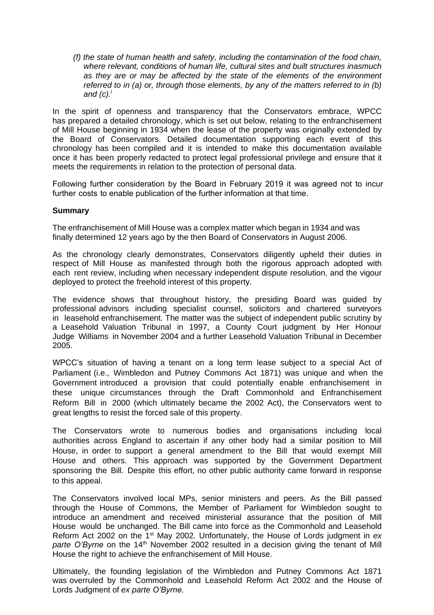*(f) the state of human health and safety, including the contamination of the food chain, where relevant, conditions of human life, cultural sites and built structures inasmuch as they are or may be affected by the state of the elements of the environment referred to in (a) or, through those elements, by any of the matters referred to in (b) and (c).<sup>i</sup>*

In the spirit of openness and transparency that the Conservators embrace, WPCC has prepared a detailed chronology, which is set out below, relating to the enfranchisement of Mill House beginning in 1934 when the lease of the property was originally extended by the Board of Conservators. Detailed documentation supporting each event of this chronology has been compiled and it is intended to make this documentation available once it has been properly redacted to protect legal professional privilege and ensure that it meets the requirements in relation to the protection of personal data.

Following further consideration by the Board in February 2019 it was agreed not to incur further costs to enable publication of the further information at that time.

## **Summary**

The enfranchisement of Mill House was a complex matter which began in 1934 and was finally determined 12 years ago by the then Board of Conservators in August 2006.

As the chronology clearly demonstrates, Conservators diligently upheld their duties in respect of Mill House as manifested through both the rigorous approach adopted with each rent review, including when necessary independent dispute resolution, and the vigour deployed to protect the freehold interest of this property.

The evidence shows that throughout history, the presiding Board was guided by professional advisors including specialist counsel, solicitors and chartered surveyors in leasehold enfranchisement. The matter was the subject of independent public scrutiny by a Leasehold Valuation Tribunal in 1997, a County Court judgment by Her Honour Judge Williams in November 2004 and a further Leasehold Valuation Tribunal in December 2005.

WPCC's situation of having a tenant on a long term lease subject to a special Act of Parliament (i.e., Wimbledon and Putney Commons Act 1871) was unique and when the Government introduced a provision that could potentially enable enfranchisement in these unique circumstances through the Draft Commonhold and Enfranchisement Reform Bill in 2000 (which ultimately became the 2002 Act), the Conservators went to great lengths to resist the forced sale of this property.

The Conservators wrote to numerous bodies and organisations including local authorities across England to ascertain if any other body had a similar position to Mill House, in order to support a general amendment to the Bill that would exempt Mill House and others. This approach was supported by the Government Department sponsoring the Bill. Despite this effort, no other public authority came forward in response to this appeal.

The Conservators involved local MPs, senior ministers and peers. As the Bill passed through the House of Commons, the Member of Parliament for Wimbledon sought to introduce an amendment and received ministerial assurance that the position of Mill House would be unchanged. The Bill came into force as the Commonhold and Leasehold Reform Act 2002 on the 1st May 2002. Unfortunately, the House of Lords judgment in *ex*  parte O'Byrne on the 14<sup>th</sup> November 2002 resulted in a decision giving the tenant of Mill House the right to achieve the enfranchisement of Mill House.

Ultimately, the founding legislation of the Wimbledon and Putney Commons Act 1871 was overruled by the Commonhold and Leasehold Reform Act 2002 and the House of Lords Judgment of *ex parte O'Byrne*.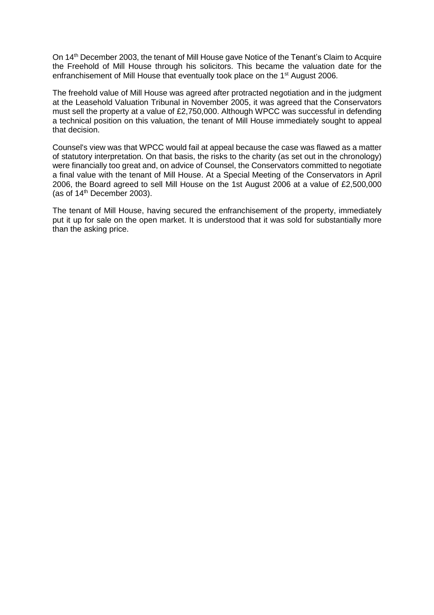On 14th December 2003, the tenant of Mill House gave Notice of the Tenant's Claim to Acquire the Freehold of Mill House through his solicitors. This became the valuation date for the enfranchisement of Mill House that eventually took place on the 1<sup>st</sup> August 2006.

The freehold value of Mill House was agreed after protracted negotiation and in the judgment at the Leasehold Valuation Tribunal in November 2005, it was agreed that the Conservators must sell the property at a value of £2,750,000. Although WPCC was successful in defending a technical position on this valuation, the tenant of Mill House immediately sought to appeal that decision.

Counsel's view was that WPCC would fail at appeal because the case was flawed as a matter of statutory interpretation. On that basis, the risks to the charity (as set out in the chronology) were financially too great and, on advice of Counsel, the Conservators committed to negotiate a final value with the tenant of Mill House. At a Special Meeting of the Conservators in April 2006, the Board agreed to sell Mill House on the 1st August 2006 at a value of £2,500,000 (as of  $14<sup>th</sup>$  December 2003).

The tenant of Mill House, having secured the enfranchisement of the property, immediately put it up for sale on the open market. It is understood that it was sold for substantially more than the asking price.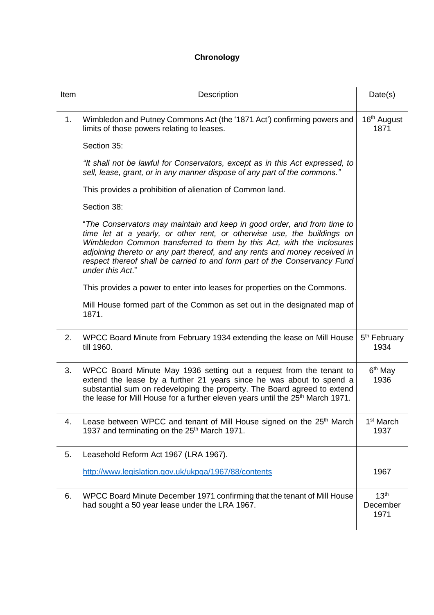# **Chronology**

| Item | Description                                                                                                                                                                                                                                                                                                                                                                                                | Date(s)                              |
|------|------------------------------------------------------------------------------------------------------------------------------------------------------------------------------------------------------------------------------------------------------------------------------------------------------------------------------------------------------------------------------------------------------------|--------------------------------------|
| 1.   | Wimbledon and Putney Commons Act (the '1871 Act') confirming powers and<br>limits of those powers relating to leases.                                                                                                                                                                                                                                                                                      | 16th August<br>1871                  |
|      | Section 35:                                                                                                                                                                                                                                                                                                                                                                                                |                                      |
|      | "It shall not be lawful for Conservators, except as in this Act expressed, to<br>sell, lease, grant, or in any manner dispose of any part of the commons."                                                                                                                                                                                                                                                 |                                      |
|      | This provides a prohibition of alienation of Common land.                                                                                                                                                                                                                                                                                                                                                  |                                      |
|      | Section 38:                                                                                                                                                                                                                                                                                                                                                                                                |                                      |
|      | "The Conservators may maintain and keep in good order, and from time to<br>time let at a yearly, or other rent, or otherwise use, the buildings on<br>Wimbledon Common transferred to them by this Act, with the inclosures<br>adjoining thereto or any part thereof, and any rents and money received in<br>respect thereof shall be carried to and form part of the Conservancy Fund<br>under this Act." |                                      |
|      | This provides a power to enter into leases for properties on the Commons.                                                                                                                                                                                                                                                                                                                                  |                                      |
|      | Mill House formed part of the Common as set out in the designated map of<br>1871.                                                                                                                                                                                                                                                                                                                          |                                      |
| 2.   | WPCC Board Minute from February 1934 extending the lease on Mill House<br>till 1960.                                                                                                                                                                                                                                                                                                                       | 5 <sup>th</sup> February<br>1934     |
| 3.   | WPCC Board Minute May 1936 setting out a request from the tenant to<br>extend the lease by a further 21 years since he was about to spend a<br>substantial sum on redeveloping the property. The Board agreed to extend<br>the lease for Mill House for a further eleven years until the 25 <sup>th</sup> March 1971.                                                                                      | 6 <sup>th</sup> May<br>1936          |
| 4.   | Lease between WPCC and tenant of Mill House signed on the 25 <sup>th</sup> March<br>1937 and terminating on the 25 <sup>th</sup> March 1971.                                                                                                                                                                                                                                                               | 1 <sup>st</sup> March<br>1937        |
| 5.   | Leasehold Reform Act 1967 (LRA 1967).                                                                                                                                                                                                                                                                                                                                                                      |                                      |
|      | http://www.legislation.gov.uk/ukpga/1967/88/contents                                                                                                                                                                                                                                                                                                                                                       | 1967                                 |
| 6.   | WPCC Board Minute December 1971 confirming that the tenant of Mill House<br>had sought a 50 year lease under the LRA 1967.                                                                                                                                                                                                                                                                                 | 13 <sup>th</sup><br>December<br>1971 |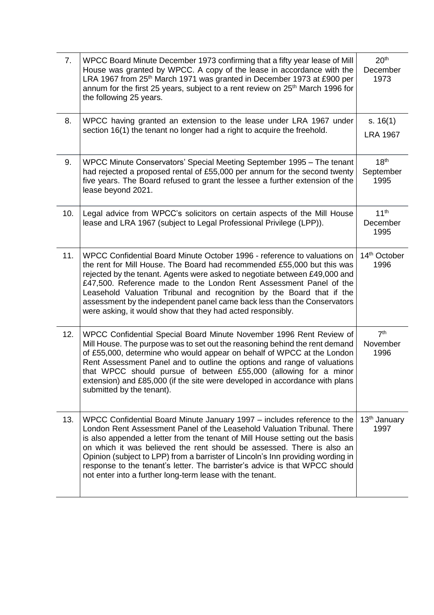| 7.  | WPCC Board Minute December 1973 confirming that a fifty year lease of Mill<br>House was granted by WPCC. A copy of the lease in accordance with the<br>LRA 1967 from 25 <sup>th</sup> March 1971 was granted in December 1973 at £900 per<br>annum for the first 25 years, subject to a rent review on 25 <sup>th</sup> March 1996 for<br>the following 25 years.                                                                                                                                                                            | 20 <sup>th</sup><br>December<br>1973  |
|-----|----------------------------------------------------------------------------------------------------------------------------------------------------------------------------------------------------------------------------------------------------------------------------------------------------------------------------------------------------------------------------------------------------------------------------------------------------------------------------------------------------------------------------------------------|---------------------------------------|
| 8.  | WPCC having granted an extension to the lease under LRA 1967 under<br>section 16(1) the tenant no longer had a right to acquire the freehold.                                                                                                                                                                                                                                                                                                                                                                                                | s. $16(1)$<br><b>LRA 1967</b>         |
| 9.  | WPCC Minute Conservators' Special Meeting September 1995 – The tenant<br>had rejected a proposed rental of £55,000 per annum for the second twenty<br>five years. The Board refused to grant the lessee a further extension of the<br>lease beyond 2021.                                                                                                                                                                                                                                                                                     | 18 <sup>th</sup><br>September<br>1995 |
| 10. | Legal advice from WPCC's solicitors on certain aspects of the Mill House<br>lease and LRA 1967 (subject to Legal Professional Privilege (LPP)).                                                                                                                                                                                                                                                                                                                                                                                              | 11 <sup>th</sup><br>December<br>1995  |
| 11. | WPCC Confidential Board Minute October 1996 - reference to valuations on<br>the rent for Mill House. The Board had recommended £55,000 but this was<br>rejected by the tenant. Agents were asked to negotiate between £49,000 and<br>£47,500. Reference made to the London Rent Assessment Panel of the<br>Leasehold Valuation Tribunal and recognition by the Board that if the<br>assessment by the independent panel came back less than the Conservators<br>were asking, it would show that they had acted responsibly.                  | 14th October<br>1996                  |
| 12. | WPCC Confidential Special Board Minute November 1996 Rent Review of<br>Mill House. The purpose was to set out the reasoning behind the rent demand<br>of £55,000, determine who would appear on behalf of WPCC at the London<br>Rent Assessment Panel and to outline the options and range of valuations<br>that WPCC should pursue of between £55,000 (allowing for a minor<br>extension) and £85,000 (if the site were developed in accordance with plans<br>submitted by the tenant).                                                     | 7 <sup>th</sup><br>November<br>1996   |
| 13. | WPCC Confidential Board Minute January 1997 – includes reference to the<br>London Rent Assessment Panel of the Leasehold Valuation Tribunal. There<br>is also appended a letter from the tenant of Mill House setting out the basis<br>on which it was believed the rent should be assessed. There is also an<br>Opinion (subject to LPP) from a barrister of Lincoln's Inn providing wording in<br>response to the tenant's letter. The barrister's advice is that WPCC should<br>not enter into a further long-term lease with the tenant. | 13 <sup>th</sup> January<br>1997      |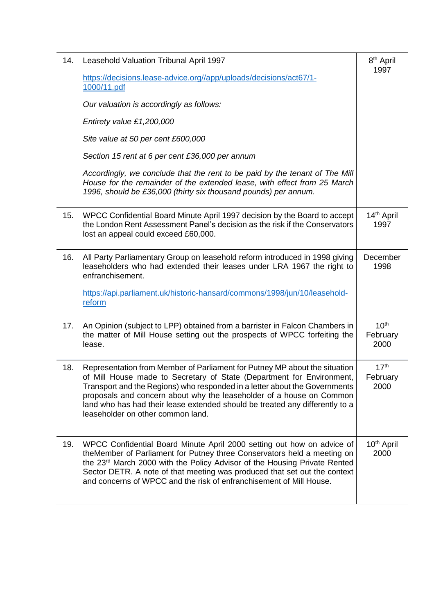| 14. | Leasehold Valuation Tribunal April 1997                                                                                                                                                                                                                                                                                                                                                                                        | 8 <sup>th</sup> April<br>1997        |
|-----|--------------------------------------------------------------------------------------------------------------------------------------------------------------------------------------------------------------------------------------------------------------------------------------------------------------------------------------------------------------------------------------------------------------------------------|--------------------------------------|
|     | https://decisions.lease-advice.org//app/uploads/decisions/act67/1-<br>1000/11.pdf                                                                                                                                                                                                                                                                                                                                              |                                      |
|     | Our valuation is accordingly as follows:                                                                                                                                                                                                                                                                                                                                                                                       |                                      |
|     | Entirety value £1,200,000                                                                                                                                                                                                                                                                                                                                                                                                      |                                      |
|     | Site value at 50 per cent £600,000                                                                                                                                                                                                                                                                                                                                                                                             |                                      |
|     | Section 15 rent at 6 per cent £36,000 per annum                                                                                                                                                                                                                                                                                                                                                                                |                                      |
|     | Accordingly, we conclude that the rent to be paid by the tenant of The Mill<br>House for the remainder of the extended lease, with effect from 25 March<br>1996, should be £36,000 (thirty six thousand pounds) per annum.                                                                                                                                                                                                     |                                      |
| 15. | WPCC Confidential Board Minute April 1997 decision by the Board to accept<br>the London Rent Assessment Panel's decision as the risk if the Conservators<br>lost an appeal could exceed £60,000.                                                                                                                                                                                                                               | 14 <sup>th</sup> April<br>1997       |
| 16. | All Party Parliamentary Group on leasehold reform introduced in 1998 giving<br>leaseholders who had extended their leases under LRA 1967 the right to<br>enfranchisement.                                                                                                                                                                                                                                                      | December<br>1998                     |
|     | https://api.parliament.uk/historic-hansard/commons/1998/jun/10/leasehold-<br>reform                                                                                                                                                                                                                                                                                                                                            |                                      |
| 17. | An Opinion (subject to LPP) obtained from a barrister in Falcon Chambers in<br>the matter of Mill House setting out the prospects of WPCC forfeiting the<br>lease.                                                                                                                                                                                                                                                             | 10 <sup>th</sup><br>February<br>2000 |
| 18. | Representation from Member of Parliament for Putney MP about the situation<br>of Mill House made to Secretary of State (Department for Environment,<br>Transport and the Regions) who responded in a letter about the Governments<br>proposals and concern about why the leaseholder of a house on Common<br>land who has had their lease extended should be treated any differently to a<br>leaseholder on other common land. | 17 <sup>th</sup><br>February<br>2000 |
| 19. | WPCC Confidential Board Minute April 2000 setting out how on advice of<br>theMember of Parliament for Putney three Conservators held a meeting on<br>the 23 <sup>rd</sup> March 2000 with the Policy Advisor of the Housing Private Rented<br>Sector DETR. A note of that meeting was produced that set out the context<br>and concerns of WPCC and the risk of enfranchisement of Mill House.                                 | 10 <sup>th</sup> April<br>2000       |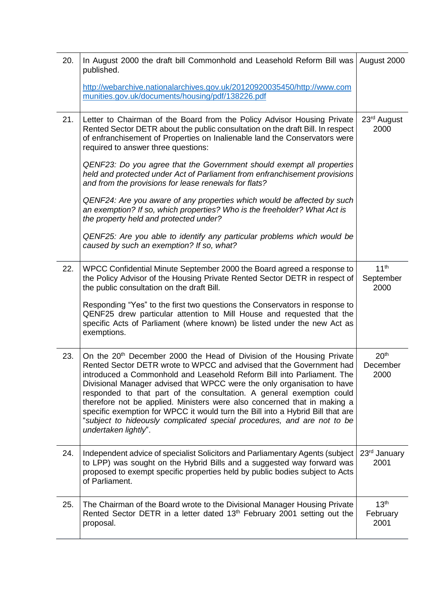| 20. | In August 2000 the draft bill Commonhold and Leasehold Reform Bill was<br>published.<br>http://webarchive.nationalarchives.gov.uk/20120920035450/http://www.com<br>munities.gov.uk/documents/housing/pdf/138226.pdf                                                                                                                                                                                                                                                                                                                                                                                                                                      | August 2000                           |
|-----|----------------------------------------------------------------------------------------------------------------------------------------------------------------------------------------------------------------------------------------------------------------------------------------------------------------------------------------------------------------------------------------------------------------------------------------------------------------------------------------------------------------------------------------------------------------------------------------------------------------------------------------------------------|---------------------------------------|
| 21. | Letter to Chairman of the Board from the Policy Advisor Housing Private<br>Rented Sector DETR about the public consultation on the draft Bill. In respect<br>of enfranchisement of Properties on Inalienable land the Conservators were<br>required to answer three questions:                                                                                                                                                                                                                                                                                                                                                                           | 23 <sup>rd</sup> August<br>2000       |
|     | QENF23: Do you agree that the Government should exempt all properties<br>held and protected under Act of Parliament from enfranchisement provisions<br>and from the provisions for lease renewals for flats?                                                                                                                                                                                                                                                                                                                                                                                                                                             |                                       |
|     | QENF24: Are you aware of any properties which would be affected by such<br>an exemption? If so, which properties? Who is the freeholder? What Act is<br>the property held and protected under?                                                                                                                                                                                                                                                                                                                                                                                                                                                           |                                       |
|     | QENF25: Are you able to identify any particular problems which would be<br>caused by such an exemption? If so, what?                                                                                                                                                                                                                                                                                                                                                                                                                                                                                                                                     |                                       |
| 22. | WPCC Confidential Minute September 2000 the Board agreed a response to<br>the Policy Advisor of the Housing Private Rented Sector DETR in respect of<br>the public consultation on the draft Bill.                                                                                                                                                                                                                                                                                                                                                                                                                                                       | 11 <sup>th</sup><br>September<br>2000 |
|     | Responding "Yes" to the first two questions the Conservators in response to<br>QENF25 drew particular attention to Mill House and requested that the<br>specific Acts of Parliament (where known) be listed under the new Act as<br>exemptions.                                                                                                                                                                                                                                                                                                                                                                                                          |                                       |
| 23. | On the 20 <sup>th</sup> December 2000 the Head of Division of the Housing Private<br>Rented Sector DETR wrote to WPCC and advised that the Government had<br>introduced a Commonhold and Leasehold Reform Bill into Parliament. The<br>Divisional Manager advised that WPCC were the only organisation to have<br>responded to that part of the consultation. A general exemption could<br>therefore not be applied. Ministers were also concerned that in making a<br>specific exemption for WPCC it would turn the Bill into a Hybrid Bill that are<br>"subject to hideously complicated special procedures, and are not to be<br>undertaken lightly". | 20 <sup>th</sup><br>December<br>2000  |
| 24. | Independent advice of specialist Solicitors and Parliamentary Agents (subject<br>to LPP) was sought on the Hybrid Bills and a suggested way forward was<br>proposed to exempt specific properties held by public bodies subject to Acts<br>of Parliament.                                                                                                                                                                                                                                                                                                                                                                                                | 23 <sup>rd</sup> January<br>2001      |
| 25. | The Chairman of the Board wrote to the Divisional Manager Housing Private<br>Rented Sector DETR in a letter dated 13 <sup>th</sup> February 2001 setting out the<br>proposal.                                                                                                                                                                                                                                                                                                                                                                                                                                                                            | 13 <sup>th</sup><br>February<br>2001  |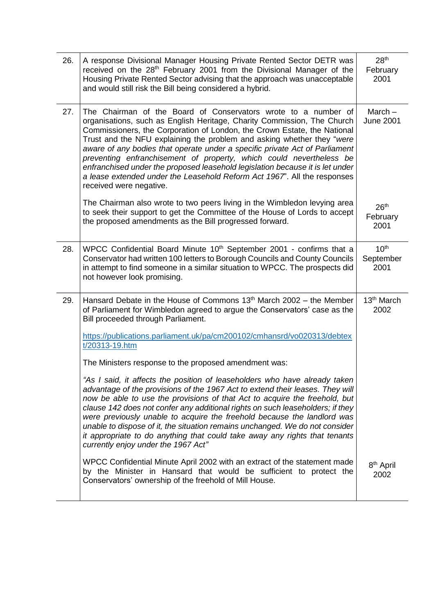| 26. | A response Divisional Manager Housing Private Rented Sector DETR was<br>received on the 28 <sup>th</sup> February 2001 from the Divisional Manager of the<br>Housing Private Rented Sector advising that the approach was unacceptable<br>and would still risk the Bill being considered a hybrid.                                                                                                                                                                                                                                                                                                                                            | 28 <sup>th</sup><br>February<br>2001  |
|-----|-----------------------------------------------------------------------------------------------------------------------------------------------------------------------------------------------------------------------------------------------------------------------------------------------------------------------------------------------------------------------------------------------------------------------------------------------------------------------------------------------------------------------------------------------------------------------------------------------------------------------------------------------|---------------------------------------|
| 27. | The Chairman of the Board of Conservators wrote to a number of<br>organisations, such as English Heritage, Charity Commission, The Church<br>Commissioners, the Corporation of London, the Crown Estate, the National<br>Trust and the NFU explaining the problem and asking whether they "were<br>aware of any bodies that operate under a specific private Act of Parliament<br>preventing enfranchisement of property, which could nevertheless be<br>enfranchised under the proposed leasehold legislation because it is let under<br>a lease extended under the Leasehold Reform Act 1967". All the responses<br>received were negative. | March $-$<br><b>June 2001</b>         |
|     | The Chairman also wrote to two peers living in the Wimbledon levying area<br>to seek their support to get the Committee of the House of Lords to accept<br>the proposed amendments as the Bill progressed forward.                                                                                                                                                                                                                                                                                                                                                                                                                            | 26 <sup>th</sup><br>February<br>2001  |
| 28. | WPCC Confidential Board Minute 10 <sup>th</sup> September 2001 - confirms that a<br>Conservator had written 100 letters to Borough Councils and County Councils<br>in attempt to find someone in a similar situation to WPCC. The prospects did<br>not however look promising.                                                                                                                                                                                                                                                                                                                                                                | 10 <sup>th</sup><br>September<br>2001 |
| 29. | Hansard Debate in the House of Commons $13th$ March 2002 – the Member<br>of Parliament for Wimbledon agreed to argue the Conservators' case as the<br>Bill proceeded through Parliament.                                                                                                                                                                                                                                                                                                                                                                                                                                                      | 13 <sup>th</sup> March<br>2002        |
|     | https://publications.parliament.uk/pa/cm200102/cmhansrd/vo020313/debtex<br>t/20313-19.htm                                                                                                                                                                                                                                                                                                                                                                                                                                                                                                                                                     |                                       |
|     | The Ministers response to the proposed amendment was:                                                                                                                                                                                                                                                                                                                                                                                                                                                                                                                                                                                         |                                       |
|     | "As I said, it affects the position of leaseholders who have already taken<br>advantage of the provisions of the 1967 Act to extend their leases. They will<br>now be able to use the provisions of that Act to acquire the freehold, but<br>clause 142 does not confer any additional rights on such leaseholders; if they<br>were previously unable to acquire the freehold because the landlord was<br>unable to dispose of it, the situation remains unchanged. We do not consider<br>it appropriate to do anything that could take away any rights that tenants<br>currently enjoy under the 1967 Act"                                   |                                       |
|     | WPCC Confidential Minute April 2002 with an extract of the statement made<br>by the Minister in Hansard that would be sufficient to protect the<br>Conservators' ownership of the freehold of Mill House.                                                                                                                                                                                                                                                                                                                                                                                                                                     | 8 <sup>th</sup> April<br>2002         |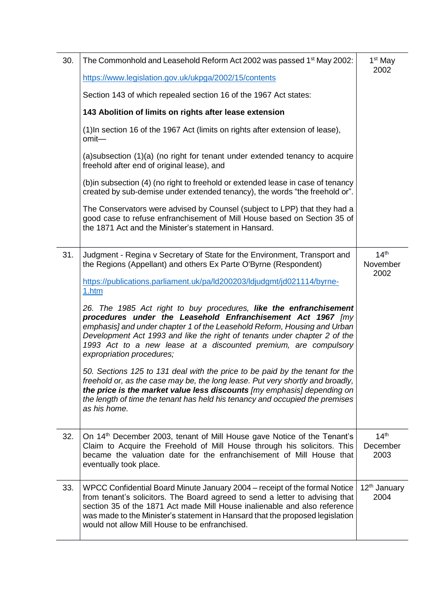| 30. | The Commonhold and Leasehold Reform Act 2002 was passed 1 <sup>st</sup> May 2002:                                                                                                                                                                                                                                                                                                          | 1 <sup>st</sup> May                  |
|-----|--------------------------------------------------------------------------------------------------------------------------------------------------------------------------------------------------------------------------------------------------------------------------------------------------------------------------------------------------------------------------------------------|--------------------------------------|
|     | https://www.legislation.gov.uk/ukpga/2002/15/contents                                                                                                                                                                                                                                                                                                                                      | 2002                                 |
|     | Section 143 of which repealed section 16 of the 1967 Act states:                                                                                                                                                                                                                                                                                                                           |                                      |
|     | 143 Abolition of limits on rights after lease extension                                                                                                                                                                                                                                                                                                                                    |                                      |
|     | (1) In section 16 of the 1967 Act (limits on rights after extension of lease),<br>omit-                                                                                                                                                                                                                                                                                                    |                                      |
|     | (a) subsection (1)(a) (no right for tenant under extended tenancy to acquire<br>freehold after end of original lease), and                                                                                                                                                                                                                                                                 |                                      |
|     | (b) in subsection (4) (no right to freehold or extended lease in case of tenancy<br>created by sub-demise under extended tenancy), the words "the freehold or".                                                                                                                                                                                                                            |                                      |
|     | The Conservators were advised by Counsel (subject to LPP) that they had a<br>good case to refuse enfranchisement of Mill House based on Section 35 of<br>the 1871 Act and the Minister's statement in Hansard.                                                                                                                                                                             |                                      |
| 31. | Judgment - Regina v Secretary of State for the Environment, Transport and<br>the Regions (Appellant) and others Ex Parte O'Byrne (Respondent)                                                                                                                                                                                                                                              | 14 <sup>th</sup><br>November<br>2002 |
|     | https://publications.parliament.uk/pa/ld200203/ldjudgmt/jd021114/byrne-<br>1.htm                                                                                                                                                                                                                                                                                                           |                                      |
|     | 26. The 1985 Act right to buy procedures, like the enfranchisement<br>procedures under the Leasehold Enfranchisement Act 1967 [my<br>emphasis] and under chapter 1 of the Leasehold Reform, Housing and Urban<br>Development Act 1993 and like the right of tenants under chapter 2 of the<br>1993 Act to a new lease at a discounted premium, are compulsory<br>expropriation procedures; |                                      |
|     | 50. Sections 125 to 131 deal with the price to be paid by the tenant for the<br>freehold or, as the case may be, the long lease. Put very shortly and broadly,<br>the price is the market value less discounts [my emphasis] depending on<br>the length of time the tenant has held his tenancy and occupied the premises<br>as his home.                                                  |                                      |
| 32. | On 14 <sup>th</sup> December 2003, tenant of Mill House gave Notice of the Tenant's<br>Claim to Acquire the Freehold of Mill House through his solicitors. This<br>became the valuation date for the enfranchisement of Mill House that<br>eventually took place.                                                                                                                          | 14 <sup>th</sup><br>December<br>2003 |
| 33. | WPCC Confidential Board Minute January 2004 – receipt of the formal Notice<br>from tenant's solicitors. The Board agreed to send a letter to advising that<br>section 35 of the 1871 Act made Mill House inalienable and also reference<br>was made to the Minister's statement in Hansard that the proposed legislation<br>would not allow Mill House to be enfranchised.                 | 12 <sup>th</sup> January<br>2004     |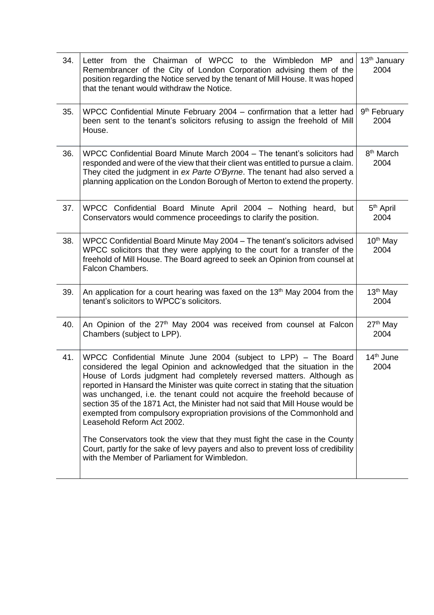| 34. | Letter from the Chairman of WPCC to the Wimbledon MP and<br>Remembrancer of the City of London Corporation advising them of the<br>position regarding the Notice served by the tenant of Mill House. It was hoped<br>that the tenant would withdraw the Notice.                                                                                                                                                                                                                                                                                                                                                                                                                                                                                                                                  | 13 <sup>th</sup> January<br>2004 |
|-----|--------------------------------------------------------------------------------------------------------------------------------------------------------------------------------------------------------------------------------------------------------------------------------------------------------------------------------------------------------------------------------------------------------------------------------------------------------------------------------------------------------------------------------------------------------------------------------------------------------------------------------------------------------------------------------------------------------------------------------------------------------------------------------------------------|----------------------------------|
| 35. | WPCC Confidential Minute February 2004 – confirmation that a letter had<br>been sent to the tenant's solicitors refusing to assign the freehold of Mill<br>House.                                                                                                                                                                                                                                                                                                                                                                                                                                                                                                                                                                                                                                | 9 <sup>th</sup> February<br>2004 |
| 36. | WPCC Confidential Board Minute March 2004 - The tenant's solicitors had<br>responded and were of the view that their client was entitled to pursue a claim.<br>They cited the judgment in ex Parte O'Byrne. The tenant had also served a<br>planning application on the London Borough of Merton to extend the property.                                                                                                                                                                                                                                                                                                                                                                                                                                                                         | 8 <sup>th</sup> March<br>2004    |
| 37. | WPCC Confidential Board Minute April 2004 - Nothing heard, but<br>Conservators would commence proceedings to clarify the position.                                                                                                                                                                                                                                                                                                                                                                                                                                                                                                                                                                                                                                                               | 5 <sup>th</sup> April<br>2004    |
| 38. | WPCC Confidential Board Minute May 2004 - The tenant's solicitors advised<br>WPCC solicitors that they were applying to the court for a transfer of the<br>freehold of Mill House. The Board agreed to seek an Opinion from counsel at<br>Falcon Chambers.                                                                                                                                                                                                                                                                                                                                                                                                                                                                                                                                       | $10th$ May<br>2004               |
| 39. | An application for a court hearing was faxed on the 13 <sup>th</sup> May 2004 from the<br>tenant's solicitors to WPCC's solicitors.                                                                                                                                                                                                                                                                                                                                                                                                                                                                                                                                                                                                                                                              | $13th$ May<br>2004               |
| 40. | An Opinion of the 27 <sup>th</sup> May 2004 was received from counsel at Falcon<br>Chambers (subject to LPP).                                                                                                                                                                                                                                                                                                                                                                                                                                                                                                                                                                                                                                                                                    | 27 <sup>th</sup> May<br>2004     |
| 41. | WPCC Confidential Minute June 2004 (subject to LPP) - The Board<br>considered the legal Opinion and acknowledged that the situation in the<br>House of Lords judgment had completely reversed matters. Although as<br>reported in Hansard the Minister was quite correct in stating that the situation<br>was unchanged, i.e. the tenant could not acquire the freehold because of<br>section 35 of the 1871 Act, the Minister had not said that Mill House would be<br>exempted from compulsory expropriation provisions of the Commonhold and<br>Leasehold Reform Act 2002.<br>The Conservators took the view that they must fight the case in the County<br>Court, partly for the sake of levy payers and also to prevent loss of credibility<br>with the Member of Parliament for Wimbledon. | 14 <sup>th</sup> June<br>2004    |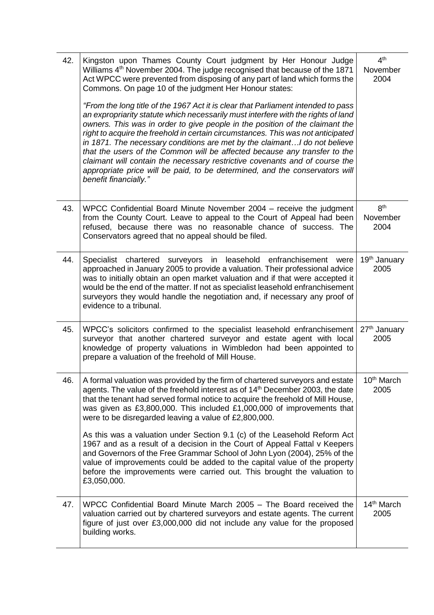| 42. | Kingston upon Thames County Court judgment by Her Honour Judge<br>Williams 4 <sup>th</sup> November 2004. The judge recognised that because of the 1871<br>Act WPCC were prevented from disposing of any part of land which forms the<br>Commons. On page 10 of the judgment Her Honour states:<br>"From the long title of the 1967 Act it is clear that Parliament intended to pass                                                                                                                                                                                                                    | 4 <sup>th</sup><br>November<br>2004 |
|-----|---------------------------------------------------------------------------------------------------------------------------------------------------------------------------------------------------------------------------------------------------------------------------------------------------------------------------------------------------------------------------------------------------------------------------------------------------------------------------------------------------------------------------------------------------------------------------------------------------------|-------------------------------------|
|     | an expropriarity statute which necessarily must interfere with the rights of land<br>owners. This was in order to give people in the position of the claimant the<br>right to acquire the freehold in certain circumstances. This was not anticipated<br>in 1871. The necessary conditions are met by the claimant I do not believe<br>that the users of the Common will be affected because any transfer to the<br>claimant will contain the necessary restrictive covenants and of course the<br>appropriate price will be paid, to be determined, and the conservators will<br>benefit financially." |                                     |
| 43. | WPCC Confidential Board Minute November 2004 – receive the judgment<br>from the County Court. Leave to appeal to the Court of Appeal had been<br>refused, because there was no reasonable chance of success. The<br>Conservators agreed that no appeal should be filed.                                                                                                                                                                                                                                                                                                                                 | 8 <sup>th</sup><br>November<br>2004 |
| 44. | Specialist chartered surveyors in leasehold enfranchisement<br>were<br>approached in January 2005 to provide a valuation. Their professional advice<br>was to initially obtain an open market valuation and if that were accepted it<br>would be the end of the matter. If not as specialist leasehold enfranchisement<br>surveyors they would handle the negotiation and, if necessary any proof of<br>evidence to a tribunal.                                                                                                                                                                         | 19th January<br>2005                |
| 45. | WPCC's solicitors confirmed to the specialist leasehold enfranchisement<br>surveyor that another chartered surveyor and estate agent with local<br>knowledge of property valuations in Wimbledon had been appointed to<br>prepare a valuation of the freehold of Mill House.                                                                                                                                                                                                                                                                                                                            | 27 <sup>th</sup> January<br>2005    |
| 46. | A formal valuation was provided by the firm of chartered surveyors and estate<br>agents. The value of the freehold interest as of 14 <sup>th</sup> December 2003, the date<br>that the tenant had served formal notice to acquire the freehold of Mill House,<br>was given as £3,800,000. This included £1,000,000 of improvements that<br>were to be disregarded leaving a value of £2,800,000.                                                                                                                                                                                                        | 10 <sup>th</sup> March<br>2005      |
|     | As this was a valuation under Section 9.1 (c) of the Leasehold Reform Act<br>1967 and as a result of a decision in the Court of Appeal Fattal v Keepers<br>and Governors of the Free Grammar School of John Lyon (2004), 25% of the<br>value of improvements could be added to the capital value of the property<br>before the improvements were carried out. This brought the valuation to<br>£3,050,000.                                                                                                                                                                                              |                                     |
| 47. | WPCC Confidential Board Minute March 2005 – The Board received the<br>valuation carried out by chartered surveyors and estate agents. The current<br>figure of just over £3,000,000 did not include any value for the proposed<br>building works.                                                                                                                                                                                                                                                                                                                                                       | 14 <sup>th</sup> March<br>2005      |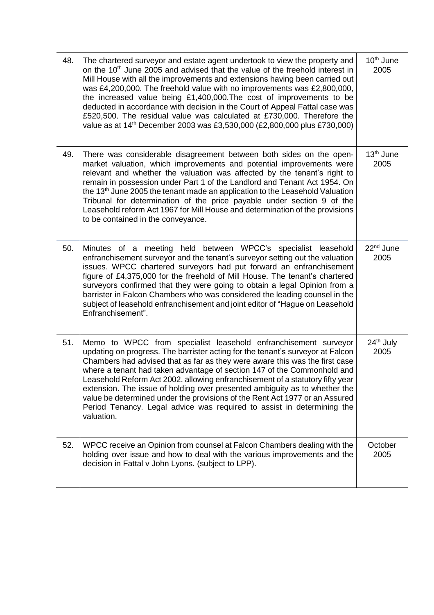| 48. | The chartered surveyor and estate agent undertook to view the property and<br>on the 10 <sup>th</sup> June 2005 and advised that the value of the freehold interest in<br>Mill House with all the improvements and extensions having been carried out<br>was £4,200,000. The freehold value with no improvements was £2,800,000,<br>the increased value being £1,400,000. The cost of improvements to be<br>deducted in accordance with decision in the Court of Appeal Fattal case was<br>£520,500. The residual value was calculated at £730,000. Therefore the<br>value as at 14 <sup>th</sup> December 2003 was £3,530,000 (£2,800,000 plus £730,000) | 10 <sup>th</sup> June<br>2005 |
|-----|-----------------------------------------------------------------------------------------------------------------------------------------------------------------------------------------------------------------------------------------------------------------------------------------------------------------------------------------------------------------------------------------------------------------------------------------------------------------------------------------------------------------------------------------------------------------------------------------------------------------------------------------------------------|-------------------------------|
| 49. | There was considerable disagreement between both sides on the open-<br>market valuation, which improvements and potential improvements were<br>relevant and whether the valuation was affected by the tenant's right to<br>remain in possession under Part 1 of the Landlord and Tenant Act 1954. On<br>the 13 <sup>th</sup> June 2005 the tenant made an application to the Leasehold Valuation<br>Tribunal for determination of the price payable under section 9 of the<br>Leasehold reform Act 1967 for Mill House and determination of the provisions<br>to be contained in the conveyance.                                                          | 13 <sup>th</sup> June<br>2005 |
| 50. | Minutes of a meeting held between WPCC's specialist leasehold<br>enfranchisement surveyor and the tenant's surveyor setting out the valuation<br>issues. WPCC chartered surveyors had put forward an enfranchisement<br>figure of £4,375,000 for the freehold of Mill House. The tenant's chartered<br>surveyors confirmed that they were going to obtain a legal Opinion from a<br>barrister in Falcon Chambers who was considered the leading counsel in the<br>subject of leasehold enfranchisement and joint editor of "Hague on Leasehold<br>Enfranchisement".                                                                                       | 22 <sup>nd</sup> June<br>2005 |
| 51. | Memo to WPCC from specialist leasehold enfranchisement surveyor<br>updating on progress. The barrister acting for the tenant's surveyor at Falcon<br>Chambers had advised that as far as they were aware this was the first case<br>where a tenant had taken advantage of section 147 of the Commonhold and<br>Leasehold Reform Act 2002, allowing enfranchisement of a statutory fifty year<br>extension. The issue of holding over presented ambiguity as to whether the<br>value be determined under the provisions of the Rent Act 1977 or an Assured<br>Period Tenancy. Legal advice was required to assist in determining the<br>valuation.         | 24 <sup>th</sup> July<br>2005 |
| 52. | WPCC receive an Opinion from counsel at Falcon Chambers dealing with the<br>holding over issue and how to deal with the various improvements and the<br>decision in Fattal v John Lyons. (subject to LPP).                                                                                                                                                                                                                                                                                                                                                                                                                                                | October<br>2005               |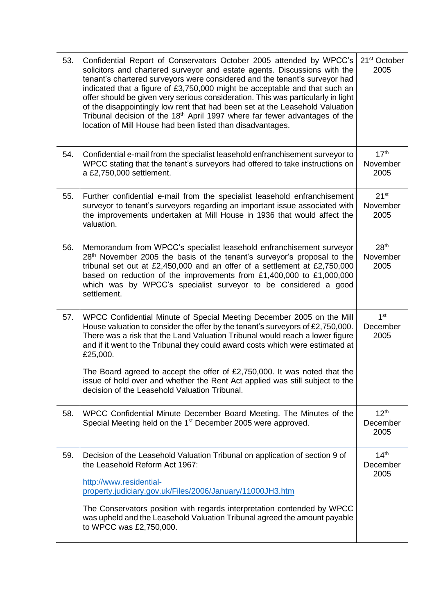| 53. | Confidential Report of Conservators October 2005 attended by WPCC's<br>solicitors and chartered surveyor and estate agents. Discussions with the<br>tenant's chartered surveyors were considered and the tenant's surveyor had<br>indicated that a figure of £3,750,000 might be acceptable and that such an<br>offer should be given very serious consideration. This was particularly in light<br>of the disappointingly low rent that had been set at the Leasehold Valuation<br>Tribunal decision of the 18 <sup>th</sup> April 1997 where far fewer advantages of the<br>location of Mill House had been listed than disadvantages. | 21 <sup>st</sup> October<br>2005     |
|-----|------------------------------------------------------------------------------------------------------------------------------------------------------------------------------------------------------------------------------------------------------------------------------------------------------------------------------------------------------------------------------------------------------------------------------------------------------------------------------------------------------------------------------------------------------------------------------------------------------------------------------------------|--------------------------------------|
| 54. | Confidential e-mail from the specialist leasehold enfranchisement surveyor to<br>WPCC stating that the tenant's surveyors had offered to take instructions on<br>a £2,750,000 settlement.                                                                                                                                                                                                                                                                                                                                                                                                                                                | 17 <sup>th</sup><br>November<br>2005 |
| 55. | Further confidential e-mail from the specialist leasehold enfranchisement<br>surveyor to tenant's surveyors regarding an important issue associated with<br>the improvements undertaken at Mill House in 1936 that would affect the<br>valuation.                                                                                                                                                                                                                                                                                                                                                                                        | $21^{st}$<br>November<br>2005        |
| 56. | Memorandum from WPCC's specialist leasehold enfranchisement surveyor<br>28 <sup>th</sup> November 2005 the basis of the tenant's surveyor's proposal to the<br>tribunal set out at £2,450,000 and an offer of a settlement at £2,750,000<br>based on reduction of the improvements from £1,400,000 to £1,000,000<br>which was by WPCC's specialist surveyor to be considered a good<br>settlement.                                                                                                                                                                                                                                       | 28 <sup>th</sup><br>November<br>2005 |
| 57. | WPCC Confidential Minute of Special Meeting December 2005 on the Mill<br>House valuation to consider the offer by the tenant's surveyors of £2,750,000.<br>There was a risk that the Land Valuation Tribunal would reach a lower figure<br>and if it went to the Tribunal they could award costs which were estimated at<br>£25,000.                                                                                                                                                                                                                                                                                                     | 1 <sup>st</sup><br>December<br>2005  |
|     | The Board agreed to accept the offer of £2,750,000. It was noted that the<br>issue of hold over and whether the Rent Act applied was still subject to the<br>decision of the Leasehold Valuation Tribunal.                                                                                                                                                                                                                                                                                                                                                                                                                               |                                      |
| 58. | WPCC Confidential Minute December Board Meeting. The Minutes of the<br>Special Meeting held on the 1 <sup>st</sup> December 2005 were approved.                                                                                                                                                                                                                                                                                                                                                                                                                                                                                          | 12 <sup>th</sup><br>December<br>2005 |
| 59. | Decision of the Leasehold Valuation Tribunal on application of section 9 of<br>the Leasehold Reform Act 1967:<br>http://www.residential-                                                                                                                                                                                                                                                                                                                                                                                                                                                                                                 | 14 <sup>th</sup><br>December<br>2005 |
|     | property.judiciary.gov.uk/Files/2006/January/11000JH3.htm                                                                                                                                                                                                                                                                                                                                                                                                                                                                                                                                                                                |                                      |
|     | The Conservators position with regards interpretation contended by WPCC<br>was upheld and the Leasehold Valuation Tribunal agreed the amount payable<br>to WPCC was £2,750,000.                                                                                                                                                                                                                                                                                                                                                                                                                                                          |                                      |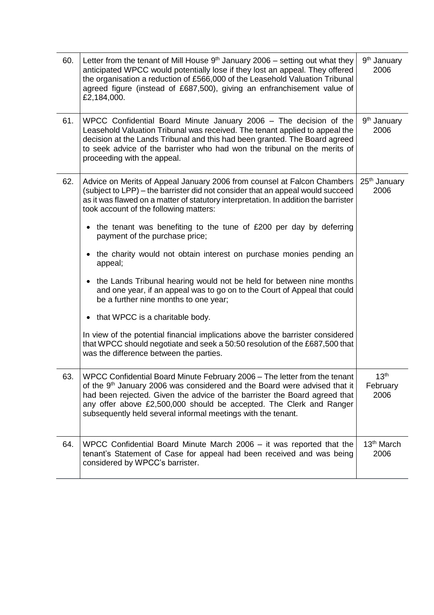| 60. | Letter from the tenant of Mill House $9th$ January 2006 – setting out what they<br>anticipated WPCC would potentially lose if they lost an appeal. They offered<br>the organisation a reduction of £566,000 of the Leasehold Valuation Tribunal<br>agreed figure (instead of £687,500), giving an enfranchisement value of<br>£2,184,000.                                               | 9 <sup>th</sup> January<br>2006      |
|-----|-----------------------------------------------------------------------------------------------------------------------------------------------------------------------------------------------------------------------------------------------------------------------------------------------------------------------------------------------------------------------------------------|--------------------------------------|
| 61. | WPCC Confidential Board Minute January 2006 - The decision of the<br>Leasehold Valuation Tribunal was received. The tenant applied to appeal the<br>decision at the Lands Tribunal and this had been granted. The Board agreed<br>to seek advice of the barrister who had won the tribunal on the merits of<br>proceeding with the appeal.                                              | 9 <sup>th</sup> January<br>2006      |
| 62. | Advice on Merits of Appeal January 2006 from counsel at Falcon Chambers<br>(subject to LPP) – the barrister did not consider that an appeal would succeed<br>as it was flawed on a matter of statutory interpretation. In addition the barrister<br>took account of the following matters:                                                                                              | 25 <sup>th</sup> January<br>2006     |
|     | • the tenant was benefiting to the tune of £200 per day by deferring<br>payment of the purchase price;                                                                                                                                                                                                                                                                                  |                                      |
|     | the charity would not obtain interest on purchase monies pending an<br>$\bullet$<br>appeal;                                                                                                                                                                                                                                                                                             |                                      |
|     | the Lands Tribunal hearing would not be held for between nine months<br>$\bullet$<br>and one year, if an appeal was to go on to the Court of Appeal that could<br>be a further nine months to one year;                                                                                                                                                                                 |                                      |
|     | that WPCC is a charitable body.                                                                                                                                                                                                                                                                                                                                                         |                                      |
|     | In view of the potential financial implications above the barrister considered<br>that WPCC should negotiate and seek a 50:50 resolution of the £687,500 that<br>was the difference between the parties.                                                                                                                                                                                |                                      |
| 63. | WPCC Confidential Board Minute February 2006 - The letter from the tenant<br>of the 9 <sup>th</sup> January 2006 was considered and the Board were advised that it<br>had been rejected. Given the advice of the barrister the Board agreed that<br>any offer above £2,500,000 should be accepted. The Clerk and Ranger<br>subsequently held several informal meetings with the tenant. | 13 <sup>th</sup><br>February<br>2006 |
| 64. | WPCC Confidential Board Minute March 2006 – it was reported that the<br>tenant's Statement of Case for appeal had been received and was being<br>considered by WPCC's barrister.                                                                                                                                                                                                        | 13 <sup>th</sup> March<br>2006       |